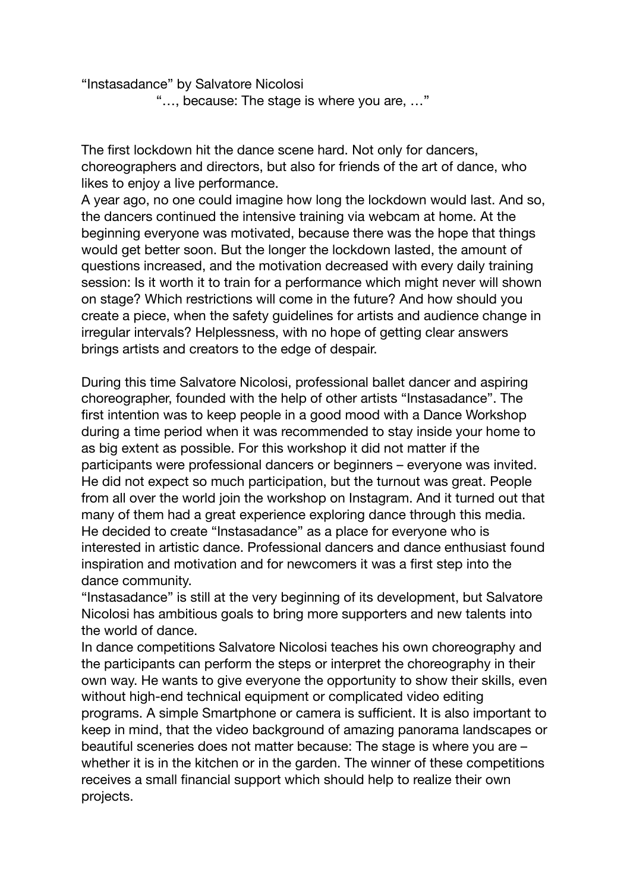"Instasadance" by Salvatore Nicolosi

"…, because: The stage is where you are, …"

The first lockdown hit the dance scene hard. Not only for dancers, choreographers and directors, but also for friends of the art of dance, who likes to enjoy a live performance.

A year ago, no one could imagine how long the lockdown would last. And so, the dancers continued the intensive training via webcam at home. At the beginning everyone was motivated, because there was the hope that things would get better soon. But the longer the lockdown lasted, the amount of questions increased, and the motivation decreased with every daily training session: Is it worth it to train for a performance which might never will shown on stage? Which restrictions will come in the future? And how should you create a piece, when the safety guidelines for artists and audience change in irregular intervals? Helplessness, with no hope of getting clear answers brings artists and creators to the edge of despair.

During this time Salvatore Nicolosi, professional ballet dancer and aspiring choreographer, founded with the help of other artists "Instasadance". The first intention was to keep people in a good mood with a Dance Workshop during a time period when it was recommended to stay inside your home to as big extent as possible. For this workshop it did not matter if the participants were professional dancers or beginners – everyone was invited. He did not expect so much participation, but the turnout was great. People from all over the world join the workshop on Instagram. And it turned out that many of them had a great experience exploring dance through this media. He decided to create "Instasadance" as a place for everyone who is interested in artistic dance. Professional dancers and dance enthusiast found inspiration and motivation and for newcomers it was a first step into the dance community.

"Instasadance" is still at the very beginning of its development, but Salvatore Nicolosi has ambitious goals to bring more supporters and new talents into the world of dance.

In dance competitions Salvatore Nicolosi teaches his own choreography and the participants can perform the steps or interpret the choreography in their own way. He wants to give everyone the opportunity to show their skills, even without high-end technical equipment or complicated video editing programs. A simple Smartphone or camera is sufficient. It is also important to keep in mind, that the video background of amazing panorama landscapes or beautiful sceneries does not matter because: The stage is where you are – whether it is in the kitchen or in the garden. The winner of these competitions receives a small financial support which should help to realize their own projects.